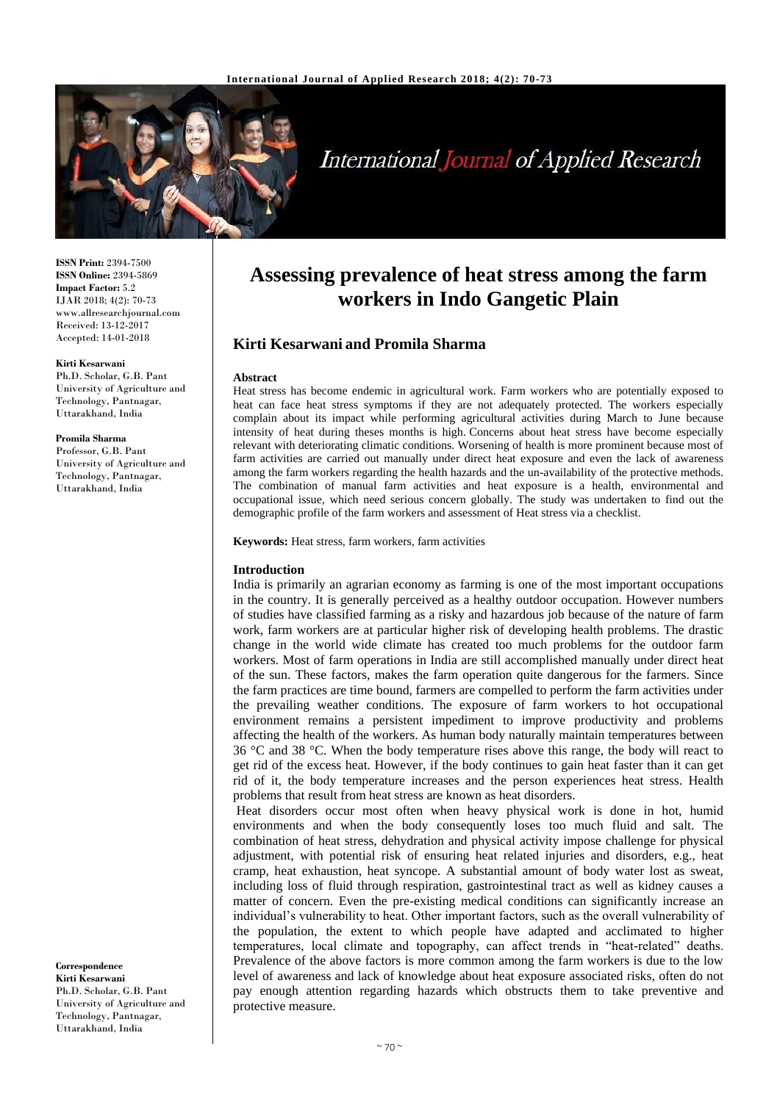

# **International Journal of Applied Research**

**ISSN Print:** 2394-7500 **ISSN Online:** 2394-5869 **Impact Factor:** 5.2 IJAR 2018; 4(2): 70-73 www.allresearchjournal.com Received: 13-12-2017 Accepted: 14-01-2018

#### **Kirti Kesarwani**

Ph.D. Scholar, G.B. Pant University of Agriculture and Technology, Pantnagar, Uttarakhand, India

### **Promila Sharma**

Professor, G.B. Pant University of Agriculture and Technology, Pantnagar, Uttarakhand, India

**Correspondence Kirti Kesarwani** Ph.D. Scholar, G.B. Pant University of Agriculture and Technology, Pantnagar, Uttarakhand, India

# **Assessing prevalence of heat stress among the farm workers in Indo Gangetic Plain**

# **Kirti Kesarwani and Promila Sharma**

#### **Abstract**

Heat stress has become endemic in agricultural work. Farm workers who are potentially exposed to heat can face heat stress symptoms if they are not adequately protected. The workers especially complain about its impact while performing agricultural activities during March to June because intensity of heat during theses months is high. Concerns about heat stress have become especially relevant with deteriorating climatic conditions. Worsening of health is more prominent because most of farm activities are carried out manually under direct heat exposure and even the lack of awareness among the farm workers regarding the health hazards and the un-availability of the protective methods. The combination of manual farm activities and heat exposure is a health, environmental and occupational issue, which need serious concern globally. The study was undertaken to find out the demographic profile of the farm workers and assessment of Heat stress via a checklist.

#### **Keywords:** Heat stress, farm workers, farm activities

### **Introduction**

India is primarily an agrarian economy as farming is one of the most important occupations in the country. It is generally perceived as a healthy outdoor occupation. However numbers of studies have classified farming as a risky and hazardous job because of the nature of farm work, farm workers are at particular higher risk of developing health problems. The drastic change in the world wide climate has created too much problems for the outdoor farm workers. Most of farm operations in India are still accomplished manually under direct heat of the sun. These factors, makes the farm operation quite dangerous for the farmers. Since the farm practices are time bound, farmers are compelled to perform the farm activities under the prevailing weather conditions. The exposure of farm workers to hot occupational environment remains a persistent impediment to improve productivity and problems affecting the health of the workers. As human body naturally maintain temperatures between 36 °C and 38 °C. When the body temperature rises above this range, the body will react to get rid of the excess heat. However, if the body continues to gain heat faster than it can get rid of it, the body temperature increases and the person experiences heat stress. Health problems that result from heat stress are known as heat disorders.

Heat disorders occur most often when heavy physical work is done in hot, humid environments and when the body consequently loses too much fluid and salt. The combination of heat stress, dehydration and physical activity impose challenge for physical adjustment, with potential risk of ensuring heat related injuries and disorders, e.g., heat cramp, heat exhaustion, heat syncope. A substantial amount of body water lost as sweat, including loss of fluid through respiration, gastrointestinal tract as well as kidney causes a matter of concern. Even the pre-existing medical conditions can significantly increase an individual's vulnerability to heat. Other important factors, such as the overall vulnerability of the population, the extent to which people have adapted and acclimated to higher temperatures, local climate and topography, can affect trends in "heat-related" deaths. Prevalence of the above factors is more common among the farm workers is due to the low level of awareness and lack of knowledge about heat exposure associated risks, often do not pay enough attention regarding hazards which obstructs them to take preventive and protective measure.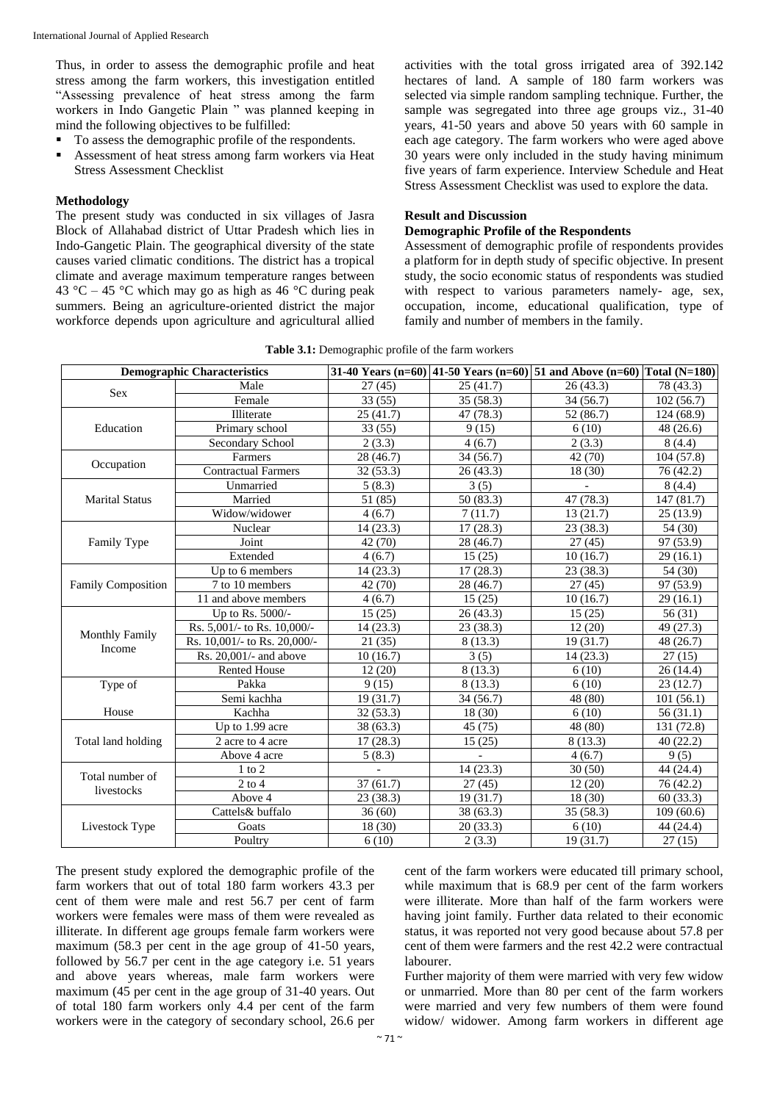Thus, in order to assess the demographic profile and heat stress among the farm workers, this investigation entitled "Assessing prevalence of heat stress among the farm workers in Indo Gangetic Plain " was planned keeping in mind the following objectives to be fulfilled:

- To assess the demographic profile of the respondents.
- Assessment of heat stress among farm workers via Heat Stress Assessment Checklist

#### **Methodology**

The present study was conducted in six villages of Jasra Block of Allahabad district of Uttar Pradesh which lies in Indo-Gangetic Plain. The geographical diversity of the state causes varied climatic conditions. The district has a tropical climate and average maximum temperature ranges between 43 °C – 45 °C which may go as high as 46 °C during peak summers. Being an agriculture-oriented district the major workforce depends upon agriculture and agricultural allied

activities with the total gross irrigated area of 392.142 hectares of land. A sample of 180 farm workers was selected via simple random sampling technique. Further, the sample was segregated into three age groups viz., 31-40 years, 41-50 years and above 50 years with 60 sample in each age category. The farm workers who were aged above 30 years were only included in the study having minimum five years of farm experience. Interview Schedule and Heat Stress Assessment Checklist was used to explore the data.

### **Result and Discussion**

# **Demographic Profile of the Respondents**

Assessment of demographic profile of respondents provides a platform for in depth study of specific objective. In present study, the socio economic status of respondents was studied with respect to various parameters namely- age, sex, occupation, income, educational qualification, type of family and number of members in the family.

|  | Table 3.1: Demographic profile of the farm workers |
|--|----------------------------------------------------|
|--|----------------------------------------------------|

| <b>Demographic Characteristics</b> |                              |           |           | 31-40 Years (n=60) 41-50 Years (n=60) 51 and Above (n=60) Total (N=180) |            |
|------------------------------------|------------------------------|-----------|-----------|-------------------------------------------------------------------------|------------|
| Sex                                | Male                         | 27(45)    | 25(41.7)  | 26(43.3)                                                                | 78 (43.3)  |
|                                    | Female                       | 33(55)    | 35(58.3)  | 34(56.7)                                                                | 102(56.7)  |
| Education                          | Illiterate                   | 25(41.7)  | 47 (78.3) | 52(86.7)                                                                | 124 (68.9) |
|                                    | Primary school               | 33(55)    | 9(15)     | 6(10)                                                                   | 48(26.6)   |
|                                    | Secondary School             | 2(3.3)    | 4(6.7)    | 2(3.3)                                                                  | 8(4.4)     |
| Occupation                         | Farmers                      | 28 (46.7) | 34(56.7)  | 42 (70)                                                                 | 104(57.8)  |
|                                    | <b>Contractual Farmers</b>   | 32(53.3)  | 26(43.3)  | 18(30)                                                                  | 76 (42.2)  |
| <b>Marital Status</b>              | Unmarried                    | 5(8.3)    | 3(5)      |                                                                         | 8(4.4)     |
|                                    | Married                      | 51 (85)   | 50(83.3)  | 47 (78.3)                                                               | 147 (81.7) |
|                                    | Widow/widower                | 4(6.7)    | 7(11.7)   | 13(21.7)                                                                | 25(13.9)   |
| Family Type                        | Nuclear                      | 14(23.3)  | 17(28.3)  | 23(38.3)                                                                | 54 (30)    |
|                                    | Joint                        | 42 (70)   | 28 (46.7) | 27(45)                                                                  | 97 (53.9)  |
|                                    | Extended                     | 4(6.7)    | 15(25)    | 10(16.7)                                                                | 29(16.1)   |
| <b>Family Composition</b>          | Up to 6 members              | 14(23.3)  | 17(28.3)  | 23(38.3)                                                                | 54 (30)    |
|                                    | 7 to 10 members              | 42 (70)   | 28 (46.7) | 27(45)                                                                  | 97 (53.9)  |
|                                    | 11 and above members         | 4(6.7)    | 15(25)    | 10(16.7)                                                                | 29(16.1)   |
| <b>Monthly Family</b><br>Income    | Up to Rs. 5000/-             | 15(25)    | 26(43.3)  | 15(25)                                                                  | 56(31)     |
|                                    | Rs. 5,001/- to Rs. 10,000/-  | 14(23.3)  | 23 (38.3) | 12(20)                                                                  | 49 (27.3)  |
|                                    | Rs. 10,001/- to Rs. 20,000/- | 21(35)    | 8 (13.3)  | 19(31.7)                                                                | 48 (26.7)  |
|                                    | Rs. 20,001/- and above       | 10(16.7)  | 3(5)      | 14(23.3)                                                                | 27(15)     |
|                                    | <b>Rented House</b>          | 12(20)    | 8(13.3)   | 6(10)                                                                   | 26 (14.4)  |
| Type of                            | Pakka                        | 9(15)     | 8(13.3)   | 6(10)                                                                   | 23(12.7)   |
|                                    | Semi kachha                  | 19(31.7)  | 34 (56.7) | 48 (80)                                                                 | 101(56.1)  |
| House                              | Kachha                       | 32(53.3)  | 18(30)    | 6(10)                                                                   | 56(31.1)   |
| Total land holding                 | Up to 1.99 acre              | 38(63.3)  | 45(75)    | 48 (80)                                                                 | 131 (72.8) |
|                                    | 2 acre to 4 acre             | 17(28.3)  | 15(25)    | 8(13.3)                                                                 | 40(22.2)   |
|                                    | Above 4 acre                 | 5(8.3)    |           | 4(6.7)                                                                  | 9(5)       |
| Total number of<br>livestocks      | $1$ to $2$                   |           | 14(23.3)  | 30(50)                                                                  | 44 (24.4)  |
|                                    | $2$ to $4$                   | 37(61.7)  | 27(45)    | 12(20)                                                                  | 76 (42.2)  |
|                                    | Above 4                      | 23(38.3)  | 19(31.7)  | 18(30)                                                                  | 60(33.3)   |
| Livestock Type                     | Cattels& buffalo             | 36(60)    | 38(63.3)  | 35(58.3)                                                                | 109(60.6)  |
|                                    | Goats                        | 18 (30)   | 20(33.3)  | 6(10)                                                                   | 44 (24.4)  |
|                                    | Poultry                      | 6(10)     | 2(3.3)    | 19(31.7)                                                                | 27(15)     |

The present study explored the demographic profile of the farm workers that out of total 180 farm workers 43.3 per cent of them were male and rest 56.7 per cent of farm workers were females were mass of them were revealed as illiterate. In different age groups female farm workers were maximum (58.3 per cent in the age group of 41-50 years, followed by 56.7 per cent in the age category i.e. 51 years and above years whereas, male farm workers were maximum (45 per cent in the age group of 31-40 years. Out of total 180 farm workers only 4.4 per cent of the farm workers were in the category of secondary school, 26.6 per

cent of the farm workers were educated till primary school, while maximum that is 68.9 per cent of the farm workers were illiterate. More than half of the farm workers were having joint family. Further data related to their economic status, it was reported not very good because about 57.8 per cent of them were farmers and the rest 42.2 were contractual labourer.

Further majority of them were married with very few widow or unmarried. More than 80 per cent of the farm workers were married and very few numbers of them were found widow/ widower. Among farm workers in different age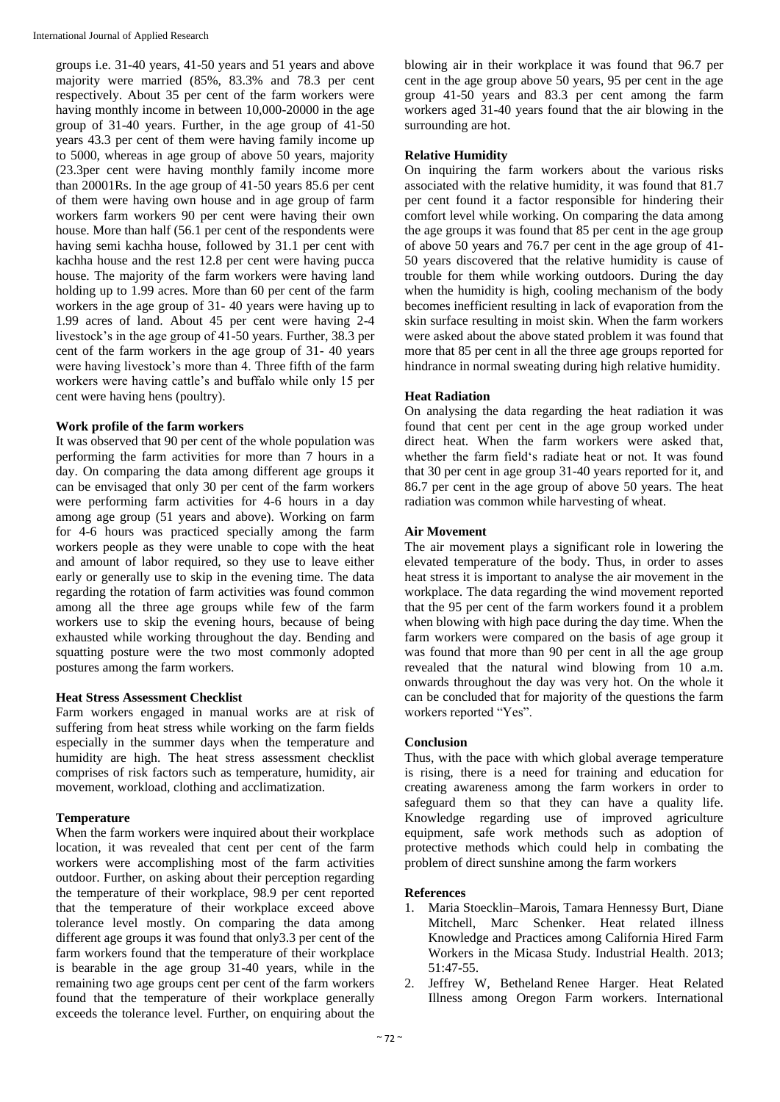groups i.e. 31-40 years, 41-50 years and 51 years and above majority were married (85%, 83.3% and 78.3 per cent respectively. About 35 per cent of the farm workers were having monthly income in between 10,000-20000 in the age group of 31-40 years. Further, in the age group of 41-50 years 43.3 per cent of them were having family income up to 5000, whereas in age group of above 50 years, majority (23.3per cent were having monthly family income more than 20001Rs. In the age group of 41-50 years 85.6 per cent of them were having own house and in age group of farm workers farm workers 90 per cent were having their own house. More than half (56.1 per cent of the respondents were having semi kachha house, followed by 31.1 per cent with kachha house and the rest 12.8 per cent were having pucca house. The majority of the farm workers were having land holding up to 1.99 acres. More than 60 per cent of the farm workers in the age group of 31- 40 years were having up to 1.99 acres of land. About 45 per cent were having 2-4 livestock's in the age group of 41-50 years. Further, 38.3 per cent of the farm workers in the age group of 31- 40 years were having livestock's more than 4. Three fifth of the farm workers were having cattle's and buffalo while only 15 per cent were having hens (poultry).

# **Work profile of the farm workers**

It was observed that 90 per cent of the whole population was performing the farm activities for more than 7 hours in a day. On comparing the data among different age groups it can be envisaged that only 30 per cent of the farm workers were performing farm activities for 4-6 hours in a day among age group (51 years and above). Working on farm for 4-6 hours was practiced specially among the farm workers people as they were unable to cope with the heat and amount of labor required, so they use to leave either early or generally use to skip in the evening time. The data regarding the rotation of farm activities was found common among all the three age groups while few of the farm workers use to skip the evening hours, because of being exhausted while working throughout the day. Bending and squatting posture were the two most commonly adopted postures among the farm workers.

# **Heat Stress Assessment Checklist**

Farm workers engaged in manual works are at risk of suffering from heat stress while working on the farm fields especially in the summer days when the temperature and humidity are high. The heat stress assessment checklist comprises of risk factors such as temperature, humidity, air movement, workload, clothing and acclimatization.

# **Temperature**

When the farm workers were inquired about their workplace location, it was revealed that cent per cent of the farm workers were accomplishing most of the farm activities outdoor. Further, on asking about their perception regarding the temperature of their workplace, 98.9 per cent reported that the temperature of their workplace exceed above tolerance level mostly. On comparing the data among different age groups it was found that only3.3 per cent of the farm workers found that the temperature of their workplace is bearable in the age group 31-40 years, while in the remaining two age groups cent per cent of the farm workers found that the temperature of their workplace generally exceeds the tolerance level. Further, on enquiring about the

blowing air in their workplace it was found that 96.7 per cent in the age group above 50 years, 95 per cent in the age group 41-50 years and 83.3 per cent among the farm workers aged 31-40 years found that the air blowing in the surrounding are hot.

# **Relative Humidity**

On inquiring the farm workers about the various risks associated with the relative humidity, it was found that 81.7 per cent found it a factor responsible for hindering their comfort level while working. On comparing the data among the age groups it was found that 85 per cent in the age group of above 50 years and 76.7 per cent in the age group of 41- 50 years discovered that the relative humidity is cause of trouble for them while working outdoors. During the day when the humidity is high, cooling mechanism of the body becomes inefficient resulting in lack of evaporation from the skin surface resulting in moist skin. When the farm workers were asked about the above stated problem it was found that more that 85 per cent in all the three age groups reported for hindrance in normal sweating during high relative humidity.

# **Heat Radiation**

On analysing the data regarding the heat radiation it was found that cent per cent in the age group worked under direct heat. When the farm workers were asked that, whether the farm field's radiate heat or not. It was found that 30 per cent in age group 31-40 years reported for it, and 86.7 per cent in the age group of above 50 years. The heat radiation was common while harvesting of wheat.

# **Air Movement**

The air movement plays a significant role in lowering the elevated temperature of the body. Thus, in order to asses heat stress it is important to analyse the air movement in the workplace. The data regarding the wind movement reported that the 95 per cent of the farm workers found it a problem when blowing with high pace during the day time. When the farm workers were compared on the basis of age group it was found that more than 90 per cent in all the age group revealed that the natural wind blowing from 10 a.m. onwards throughout the day was very hot. On the whole it can be concluded that for majority of the questions the farm workers reported "Yes".

# **Conclusion**

Thus, with the pace with which global average temperature is rising, there is a need for training and education for creating awareness among the farm workers in order to safeguard them so that they can have a quality life. Knowledge regarding use of improved agriculture equipment, safe work methods such as adoption of protective methods which could help in combating the problem of direct sunshine among the farm workers

# **References**

- 1. Maria Stoecklin–Marois, Tamara Hennessy Burt, Diane Mitchell, Marc Schenker. Heat related illness Knowledge and Practices among California Hired Farm Workers in the Micasa Study. Industrial Health. 2013; 51:47-55.
- 2. Jeffrey W, Betheland Renee Harger. Heat Related Illness among Oregon Farm workers. International